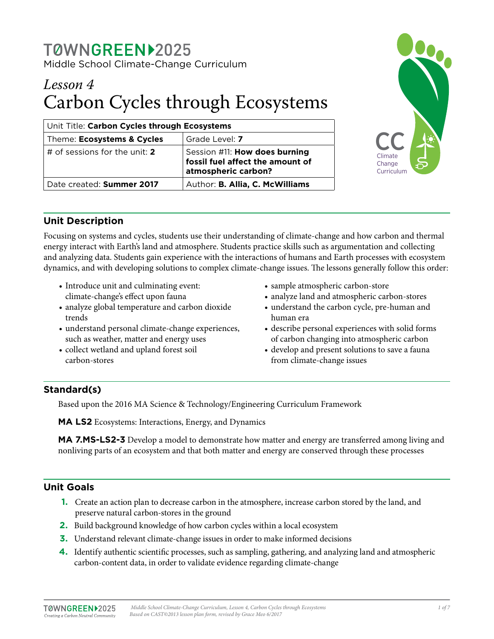# *Lesson 4* Carbon Cycles through Ecosystems

| Unit Title: Carbon Cycles through Ecosystems |                                                                                          |  |  |  |
|----------------------------------------------|------------------------------------------------------------------------------------------|--|--|--|
| Theme: Ecosystems & Cycles                   | Grade Level: 7                                                                           |  |  |  |
| # of sessions for the unit: 2                | Session #11: How does burning<br>fossil fuel affect the amount of<br>atmospheric carbon? |  |  |  |
| Date created: Summer 2017                    | Author: B. Allia, C. McWilliams                                                          |  |  |  |



# **Unit Description**

Focusing on systems and cycles, students use their understanding of climate-change and how carbon and thermal energy interact with Earth's land and atmosphere. Students practice skills such as argumentation and collecting and analyzing data. Students gain experience with the interactions of humans and Earth processes with ecosystem dynamics, and with developing solutions to complex climate-change issues. The lessons generally follow this order:

- Introduce unit and culminating event: climate-change's effect upon fauna
- analyze global temperature and carbon dioxide trends
- understand personal climate-change experiences, such as weather, matter and energy uses
- collect wetland and upland forest soil carbon-stores
- sample atmospheric carbon-store
- analyze land and atmospheric carbon-stores
- understand the carbon cycle, pre-human and human era
- describe personal experiences with solid forms of carbon changing into atmospheric carbon
- develop and present solutions to save a fauna from climate-change issues

# **Standard(s)**

Based upon the 2016 MA Science & Technology/Engineering Curriculum Framework

**MA LS2** Ecosystems: Interactions, Energy, and Dynamics

**MA 7.MS-LS2-3** Develop a model to demonstrate how matter and energy are transferred among living and nonliving parts of an ecosystem and that both matter and energy are conserved through these processes

# **Unit Goals**

- **1.** Create an action plan to decrease carbon in the atmosphere, increase carbon stored by the land, and preserve natural carbon-stores in the ground
- **2.** Build background knowledge of how carbon cycles within a local ecosystem
- **3.** Understand relevant climate-change issues in order to make informed decisions
- **4.** Identify authentic scientific processes, such as sampling, gathering, and analyzing land and atmospheric carbon-content data, in order to validate evidence regarding climate-change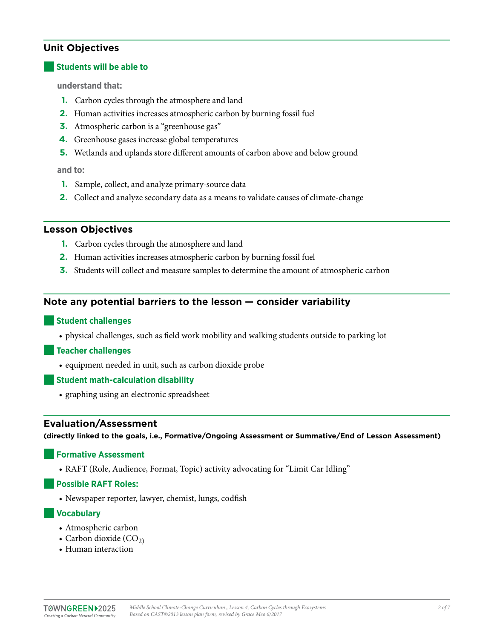# **Unit Objectives**

#### **Students will be able to**

**understand that:** 

- **1.** Carbon cycles through the atmosphere and land
- **2.** Human activities increases atmospheric carbon by burning fossil fuel
- **3.** Atmospheric carbon is a "greenhouse gas"
- **4.** Greenhouse gases increase global temperatures
- **5.** Wetlands and uplands store different amounts of carbon above and below ground

#### **and to:**

- **1.** Sample, collect, and analyze primary-source data
- **2.** Collect and analyze secondary data as a means to validate causes of climate-change

#### **Lesson Objectives**

- **1.** Carbon cycles through the atmosphere and land
- **2.** Human activities increases atmospheric carbon by burning fossil fuel
- **3.** Students will collect and measure samples to determine the amount of atmospheric carbon

### **Note any potential barriers to the lesson — consider variability**

#### ■**Student challenges**

• physical challenges, such as field work mobility and walking students outside to parking lot

#### ■**Teacher challenges**

• equipment needed in unit, such as carbon dioxide probe

#### ■**Student math-calculation disability**

• graphing using an electronic spreadsheet

#### **Evaluation/Assessment**

**(directly linked to the goals, i.e., Formative/Ongoing Assessment or Summative/End of Lesson Assessment)**

#### ■**Formative Assessment**

• RAFT (Role, Audience, Format, Topic) activity advocating for "Limit Car Idling"

#### ■**Possible RAFT Roles:**

• Newspaper reporter, lawyer, chemist, lungs, codfish

#### ■**Vocabulary**

- Atmospheric carbon
- Carbon dioxide  $(CO<sub>2</sub>)$
- Human interaction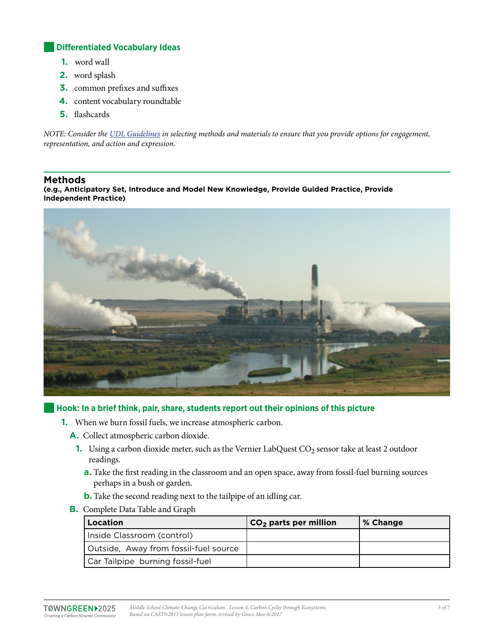#### **Differentiated Vocabulary Ideas**

- **1.** word wall
- **2.** word splash
- **3.** common prefixes and suffixes
- **4.** content vocabulary roundtable
- **5.** flashcards

*NOTE: Consider the [UDL Guidelines](http://bit.ly/1d5bjtS) in selecting methods and materials to ensure that you provide options for engagement, representation, and action and expression.* 

#### **Methods**

**(e.g., Anticipatory Set, Introduce and Model New Knowledge, Provide Guided Practice, Provide Independent Practice)**



#### ■**Hook: In a brief think, pair, share, students report out their opinions of this picture**

- **1.** When we burn fossil fuels, we increase atmospheric carbon.
	- **A.** Collect atmospheric carbon dioxide.
		- **1.** Using a carbon dioxide meter, such as the Vernier LabQuest CO<sub>2</sub> sensor take at least 2 outdoor readings.
			- **a.** Take the first reading in the classroom and an open space, away from fossil-fuel burning sources perhaps in a bush or garden.
			- **b.**Take the second reading next to the tailpipe of an idling car.
	- **B.** Complete Data Table and Graph

| Location                              | $CO2$ parts per million | % Change |
|---------------------------------------|-------------------------|----------|
| Inside Classroom (control)            |                         |          |
| Outside, Away from fossil-fuel source |                         |          |
| Car Tailpipe burning fossil-fuel      |                         |          |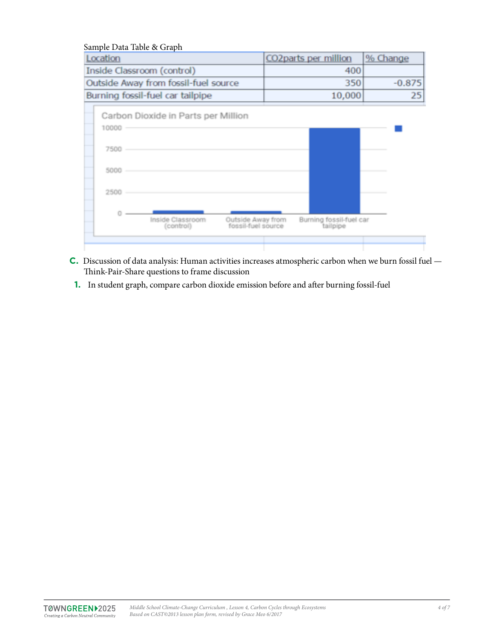| Location                   |                                      | CO2parts per million                    |        | % Change                            |          |
|----------------------------|--------------------------------------|-----------------------------------------|--------|-------------------------------------|----------|
| Inside Classroom (control) |                                      | 400                                     |        |                                     |          |
|                            | Outside Away from fossil-fuel source |                                         | 350    |                                     | $-0.875$ |
|                            | Burning fossil-fuel car tailpipe     |                                         | 10,000 |                                     | 25       |
|                            | Carbon Dioxide in Parts per Million  |                                         |        |                                     |          |
| 10000                      |                                      |                                         |        |                                     |          |
| 7500                       |                                      |                                         |        |                                     |          |
| 5000                       |                                      |                                         |        |                                     |          |
| 2500                       |                                      |                                         |        |                                     |          |
|                            | Inside Classroom<br>(control)        | Outside Away from<br>fossil-fuel source |        | Burning fossil-fuel car<br>tailpipe |          |
|                            |                                      |                                         |        |                                     |          |

- **C.** Discussion of data analysis: Human activities increases atmospheric carbon when we burn fossil fuel Think-Pair-Share questions to frame discussion
- **1.** In student graph, compare carbon dioxide emission before and after burning fossil-fuel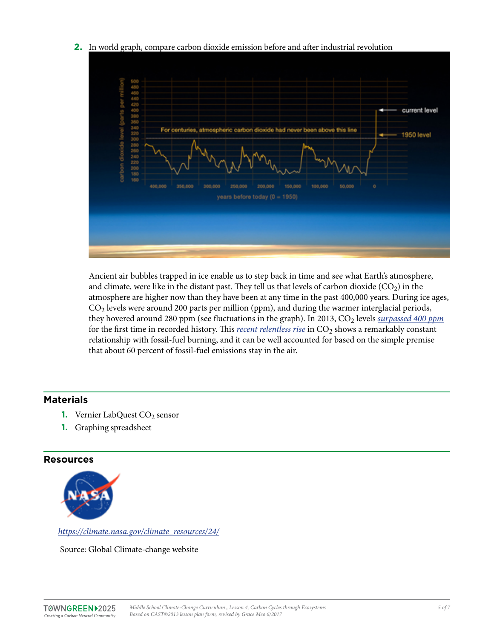#### **2.** In world graph, compare carbon dioxide emission before and after industrial revolution



Ancient air bubbles trapped in ice enable us to step back in time and see what Earth's atmosphere, and climate, were like in the distant past. They tell us that levels of carbon dioxide  $(CO<sub>2</sub>)$  in the atmosphere are higher now than they have been at any time in the past 400,000 years. During ice ages,  $CO<sub>2</sub>$  levels were around 200 parts per million (ppm), and during the warmer interglacial periods, they hovered around 280 ppm (see fluctuations in the graph). In 2013, CO<sub>2</sub> levels *[surpassed 400 ppm](http://climate.nasa.gov/news/916)* for the first time in recorded history. This *[recent relentless rise](http://scrippsco2.ucsd.edu/history_legacy/keeling_curve_lessons)* in CO<sub>2</sub> shows a remarkably constant relationship with fossil-fuel burning, and it can be well accounted for based on the simple premise that about 60 percent of fossil-fuel emissions stay in the air.

## **Materials**

- **1.** Vernier LabQuest CO<sub>2</sub> sensor
- **1.** Graphing spreadsheet

#### **Resources**



*[https://climate.nasa.gov/climate\\_resources/24/](https://climate.nasa.gov/climate_resources/24/)*

Source: Global Climate-change website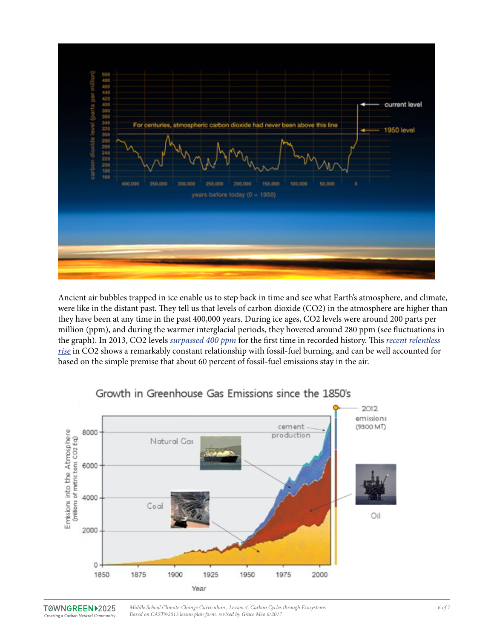

Ancient air bubbles trapped in ice enable us to step back in time and see what Earth's atmosphere, and climate, were like in the distant past. They tell us that levels of carbon dioxide (CO2) in the atmosphere are higher than they have been at any time in the past 400,000 years. During ice ages, CO2 levels were around 200 parts per million (ppm), and during the warmer interglacial periods, they hovered around 280 ppm (see fluctuations in the graph). In 2013, CO2 levels *[surpassed 400 ppm](http://climate.nasa.gov/news/916)* for the first time in recorded history. This *[recent relentless](http://scrippsco2.ucsd.edu/history_legacy/keeling_curve_lessons)  [rise](http://scrippsco2.ucsd.edu/history_legacy/keeling_curve_lessons)* in CO2 shows a remarkably constant relationship with fossil-fuel burning, and can be well accounted for based on the simple premise that about 60 percent of fossil-fuel emissions stay in the air.



# Growth in Greenhouse Gas Emissions since the 1850's